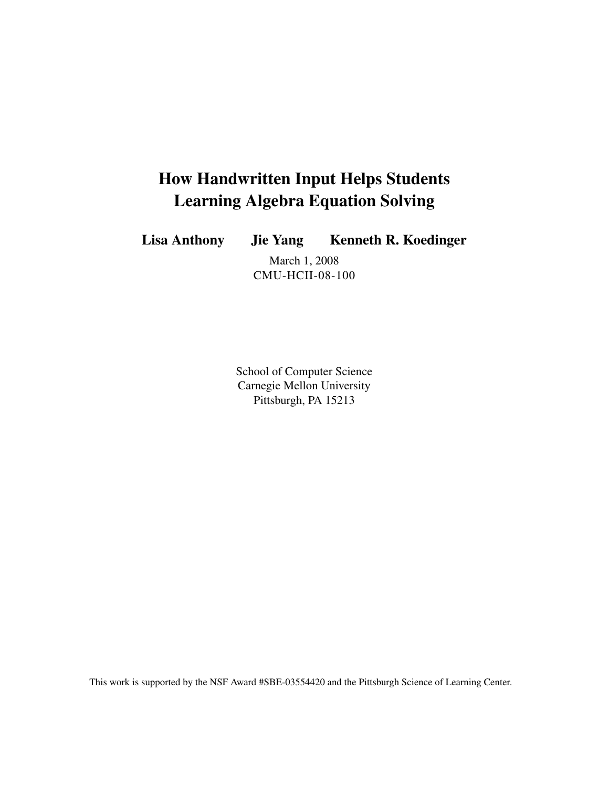# How Handwritten Input Helps Students Learning Algebra Equation Solving

Lisa Anthony Jie Yang Kenneth R. Koedinger

March 1, 2008 CMU-HCII-08-100

School of Computer Science Carnegie Mellon University Pittsburgh, PA 15213

This work is supported by the NSF Award #SBE-03554420 and the Pittsburgh Science of Learning Center.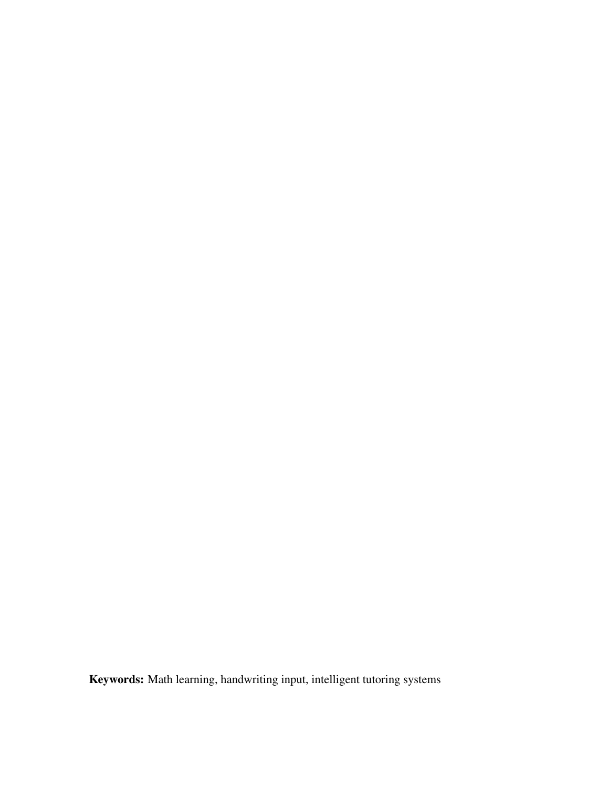Keywords: Math learning, handwriting input, intelligent tutoring systems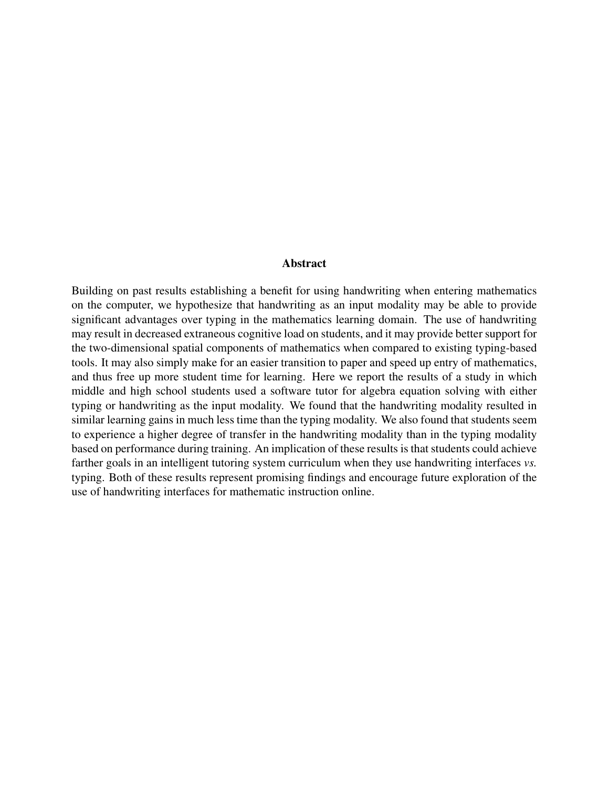#### Abstract

Building on past results establishing a benefit for using handwriting when entering mathematics on the computer, we hypothesize that handwriting as an input modality may be able to provide significant advantages over typing in the mathematics learning domain. The use of handwriting may result in decreased extraneous cognitive load on students, and it may provide better support for the two-dimensional spatial components of mathematics when compared to existing typing-based tools. It may also simply make for an easier transition to paper and speed up entry of mathematics, and thus free up more student time for learning. Here we report the results of a study in which middle and high school students used a software tutor for algebra equation solving with either typing or handwriting as the input modality. We found that the handwriting modality resulted in similar learning gains in much less time than the typing modality. We also found that students seem to experience a higher degree of transfer in the handwriting modality than in the typing modality based on performance during training. An implication of these results is that students could achieve farther goals in an intelligent tutoring system curriculum when they use handwriting interfaces *vs.* typing. Both of these results represent promising findings and encourage future exploration of the use of handwriting interfaces for mathematic instruction online.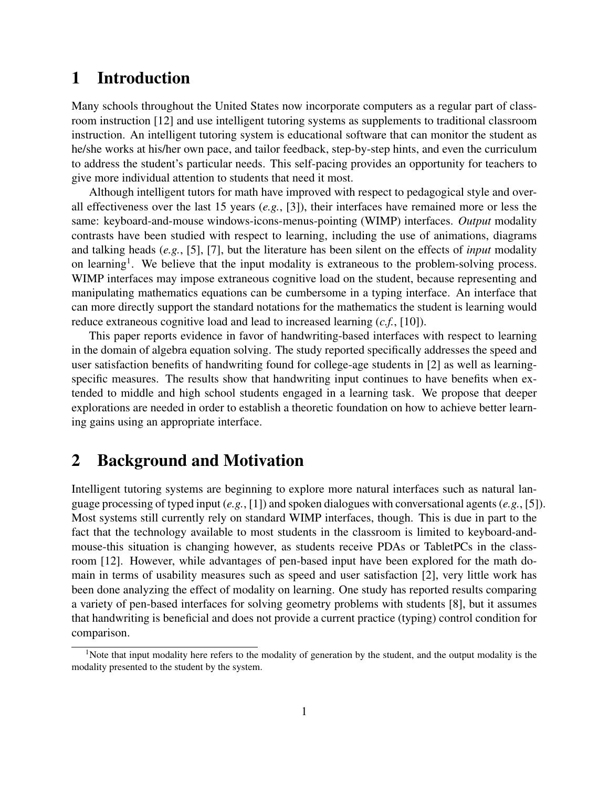### 1 Introduction

Many schools throughout the United States now incorporate computers as a regular part of classroom instruction [\[12\]](#page-13-0) and use intelligent tutoring systems as supplements to traditional classroom instruction. An intelligent tutoring system is educational software that can monitor the student as he/she works at his/her own pace, and tailor feedback, step-by-step hints, and even the curriculum to address the student's particular needs. This self-pacing provides an opportunity for teachers to give more individual attention to students that need it most.

Although intelligent tutors for math have improved with respect to pedagogical style and overall effectiveness over the last 15 years (*e.g.*, [\[3\]](#page-12-0)), their interfaces have remained more or less the same: keyboard-and-mouse windows-icons-menus-pointing (WIMP) interfaces. *Output* modality contrasts have been studied with respect to learning, including the use of animations, diagrams and talking heads (*e.g.*, [\[5\]](#page-12-1), [\[7\]](#page-12-2), but the literature has been silent on the effects of *input* modality on learning<sup>1</sup>. We believe that the input modality is extraneous to the problem-solving process. WIMP interfaces may impose extraneous cognitive load on the student, because representing and manipulating mathematics equations can be cumbersome in a typing interface. An interface that can more directly support the standard notations for the mathematics the student is learning would reduce extraneous cognitive load and lead to increased learning (*c.f.*, [\[10\]](#page-12-3)).

This paper reports evidence in favor of handwriting-based interfaces with respect to learning in the domain of algebra equation solving. The study reported specifically addresses the speed and user satisfaction benefits of handwriting found for college-age students in [\[2\]](#page-12-4) as well as learningspecific measures. The results show that handwriting input continues to have benefits when extended to middle and high school students engaged in a learning task. We propose that deeper explorations are needed in order to establish a theoretic foundation on how to achieve better learning gains using an appropriate interface.

### 2 Background and Motivation

Intelligent tutoring systems are beginning to explore more natural interfaces such as natural language processing of typed input (*e.g.*, [\[1\]](#page-12-5)) and spoken dialogues with conversational agents (*e.g.*, [\[5\]](#page-12-1)). Most systems still currently rely on standard WIMP interfaces, though. This is due in part to the fact that the technology available to most students in the classroom is limited to keyboard-andmouse-this situation is changing however, as students receive PDAs or TabletPCs in the classroom [\[12\]](#page-13-0). However, while advantages of pen-based input have been explored for the math domain in terms of usability measures such as speed and user satisfaction [\[2\]](#page-12-4), very little work has been done analyzing the effect of modality on learning. One study has reported results comparing a variety of pen-based interfaces for solving geometry problems with students [\[8\]](#page-12-6), but it assumes that handwriting is beneficial and does not provide a current practice (typing) control condition for comparison.

<sup>&</sup>lt;sup>1</sup>Note that input modality here refers to the modality of generation by the student, and the output modality is the modality presented to the student by the system.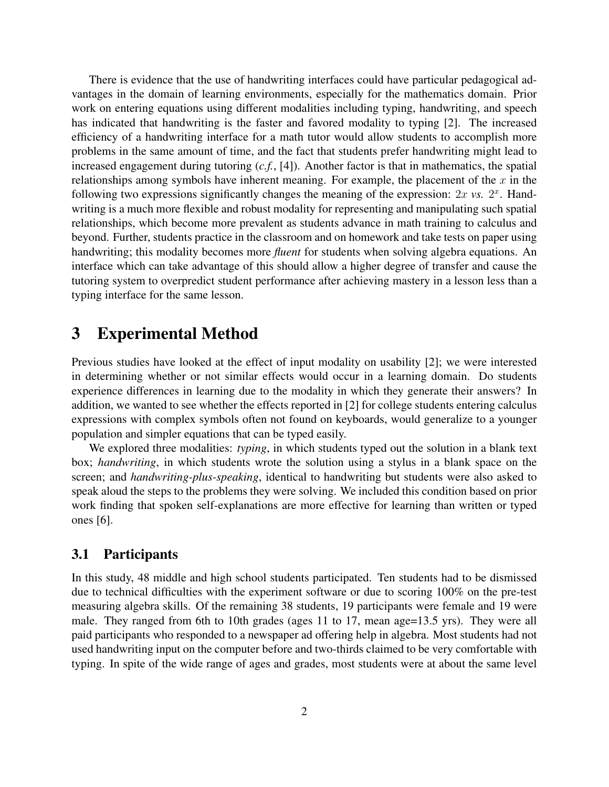There is evidence that the use of handwriting interfaces could have particular pedagogical advantages in the domain of learning environments, especially for the mathematics domain. Prior work on entering equations using different modalities including typing, handwriting, and speech has indicated that handwriting is the faster and favored modality to typing [\[2\]](#page-12-4). The increased efficiency of a handwriting interface for a math tutor would allow students to accomplish more problems in the same amount of time, and the fact that students prefer handwriting might lead to increased engagement during tutoring (*c.f.*, [\[4\]](#page-12-7)). Another factor is that in mathematics, the spatial relationships among symbols have inherent meaning. For example, the placement of the  $x$  in the following two expressions significantly changes the meaning of the expression:  $2x$  *vs.*  $2<sup>x</sup>$ . Handwriting is a much more flexible and robust modality for representing and manipulating such spatial relationships, which become more prevalent as students advance in math training to calculus and beyond. Further, students practice in the classroom and on homework and take tests on paper using handwriting; this modality becomes more *fluent* for students when solving algebra equations. An interface which can take advantage of this should allow a higher degree of transfer and cause the tutoring system to overpredict student performance after achieving mastery in a lesson less than a typing interface for the same lesson.

### 3 Experimental Method

Previous studies have looked at the effect of input modality on usability [\[2\]](#page-12-4); we were interested in determining whether or not similar effects would occur in a learning domain. Do students experience differences in learning due to the modality in which they generate their answers? In addition, we wanted to see whether the effects reported in [\[2\]](#page-12-4) for college students entering calculus expressions with complex symbols often not found on keyboards, would generalize to a younger population and simpler equations that can be typed easily.

We explored three modalities: *typing*, in which students typed out the solution in a blank text box; *handwriting*, in which students wrote the solution using a stylus in a blank space on the screen; and *handwriting-plus-speaking*, identical to handwriting but students were also asked to speak aloud the steps to the problems they were solving. We included this condition based on prior work finding that spoken self-explanations are more effective for learning than written or typed ones [\[6\]](#page-12-8).

#### 3.1 Participants

In this study, 48 middle and high school students participated. Ten students had to be dismissed due to technical difficulties with the experiment software or due to scoring 100% on the pre-test measuring algebra skills. Of the remaining 38 students, 19 participants were female and 19 were male. They ranged from 6th to 10th grades (ages 11 to 17, mean age=13.5 yrs). They were all paid participants who responded to a newspaper ad offering help in algebra. Most students had not used handwriting input on the computer before and two-thirds claimed to be very comfortable with typing. In spite of the wide range of ages and grades, most students were at about the same level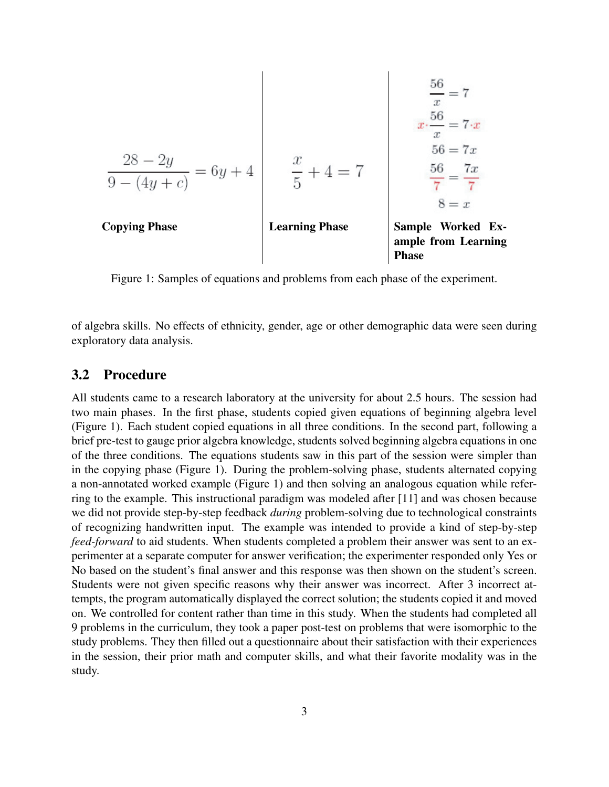| $\frac{28 - 2y}{9 - (4y + c)} = 6y + 4$ | $\frac{x}{5} + 4 = 7$                            | $\frac{56}{x} = 7 \cdot x$    |
|-----------------------------------------|--------------------------------------------------|-------------------------------|
| $\frac{28 - 2y}{9 - (4y + c)} = 6y + 4$ | $\frac{x}{5} + 4 = 7$                            | $\frac{56}{7} = \frac{7x}{7}$ |
| $8 = x$                                 |                                                  |                               |
| <b>Conping Phase</b>                    | <b>Sample Worked Ex-<br/>ample from Learning</b> |                               |

<span id="page-6-0"></span>Figure 1: Samples of equations and problems from each phase of the experiment.

of algebra skills. No effects of ethnicity, gender, age or other demographic data were seen during exploratory data analysis.

#### 3.2 Procedure

All students came to a research laboratory at the university for about 2.5 hours. The session had two main phases. In the first phase, students copied given equations of beginning algebra level (Figure [1\)](#page-6-0). Each student copied equations in all three conditions. In the second part, following a brief pre-test to gauge prior algebra knowledge, students solved beginning algebra equations in one of the three conditions. The equations students saw in this part of the session were simpler than in the copying phase (Figure [1\)](#page-6-0). During the problem-solving phase, students alternated copying a non-annotated worked example (Figure [1\)](#page-6-0) and then solving an analogous equation while referring to the example. This instructional paradigm was modeled after [\[11\]](#page-12-9) and was chosen because we did not provide step-by-step feedback *during* problem-solving due to technological constraints of recognizing handwritten input. The example was intended to provide a kind of step-by-step *feed-forward* to aid students. When students completed a problem their answer was sent to an experimenter at a separate computer for answer verification; the experimenter responded only Yes or No based on the student's final answer and this response was then shown on the student's screen. Students were not given specific reasons why their answer was incorrect. After 3 incorrect attempts, the program automatically displayed the correct solution; the students copied it and moved on. We controlled for content rather than time in this study. When the students had completed all 9 problems in the curriculum, they took a paper post-test on problems that were isomorphic to the study problems. They then filled out a questionnaire about their satisfaction with their experiences in the session, their prior math and computer skills, and what their favorite modality was in the study.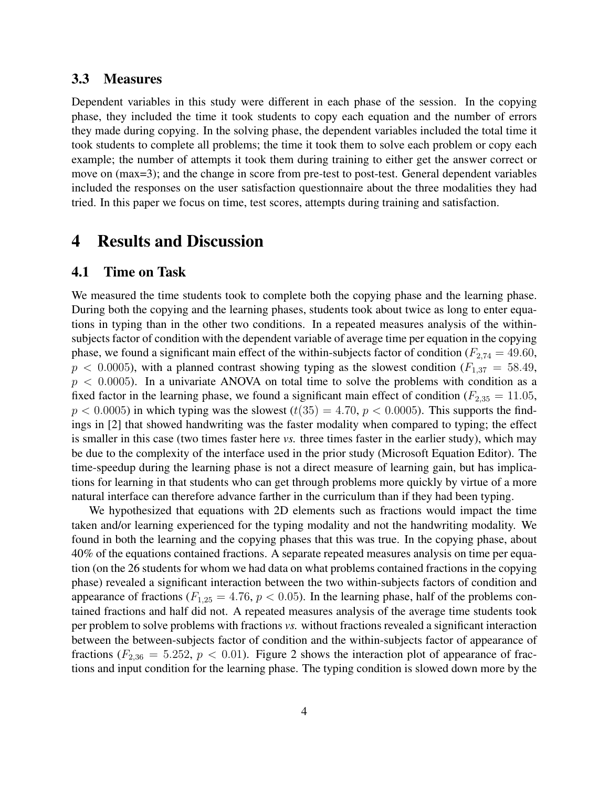#### 3.3 Measures

Dependent variables in this study were different in each phase of the session. In the copying phase, they included the time it took students to copy each equation and the number of errors they made during copying. In the solving phase, the dependent variables included the total time it took students to complete all problems; the time it took them to solve each problem or copy each example; the number of attempts it took them during training to either get the answer correct or move on (max=3); and the change in score from pre-test to post-test. General dependent variables included the responses on the user satisfaction questionnaire about the three modalities they had tried. In this paper we focus on time, test scores, attempts during training and satisfaction.

### 4 Results and Discussion

#### 4.1 Time on Task

We measured the time students took to complete both the copying phase and the learning phase. During both the copying and the learning phases, students took about twice as long to enter equations in typing than in the other two conditions. In a repeated measures analysis of the withinsubjects factor of condition with the dependent variable of average time per equation in the copying phase, we found a significant main effect of the within-subjects factor of condition ( $F_{2,74} = 49.60$ ,  $p < 0.0005$ ), with a planned contrast showing typing as the slowest condition ( $F_{1,37} = 58.49$ ,  $p < 0.0005$ ). In a univariate ANOVA on total time to solve the problems with condition as a fixed factor in the learning phase, we found a significant main effect of condition ( $F_{2,35} = 11.05$ ,  $p < 0.0005$ ) in which typing was the slowest  $(t(35) = 4.70, p < 0.0005)$ . This supports the findings in [\[2\]](#page-12-4) that showed handwriting was the faster modality when compared to typing; the effect is smaller in this case (two times faster here *vs.* three times faster in the earlier study), which may be due to the complexity of the interface used in the prior study (Microsoft Equation Editor). The time-speedup during the learning phase is not a direct measure of learning gain, but has implications for learning in that students who can get through problems more quickly by virtue of a more natural interface can therefore advance farther in the curriculum than if they had been typing.

We hypothesized that equations with 2D elements such as fractions would impact the time taken and/or learning experienced for the typing modality and not the handwriting modality. We found in both the learning and the copying phases that this was true. In the copying phase, about 40% of the equations contained fractions. A separate repeated measures analysis on time per equation (on the 26 students for whom we had data on what problems contained fractions in the copying phase) revealed a significant interaction between the two within-subjects factors of condition and appearance of fractions ( $F_{1,25} = 4.76$ ,  $p < 0.05$ ). In the learning phase, half of the problems contained fractions and half did not. A repeated measures analysis of the average time students took per problem to solve problems with fractions *vs.* without fractions revealed a significant interaction between the between-subjects factor of condition and the within-subjects factor of appearance of fractions ( $F_{2,36} = 5.252$ ,  $p < 0.01$ ). Figure [2](#page-8-0) shows the interaction plot of appearance of fractions and input condition for the learning phase. The typing condition is slowed down more by the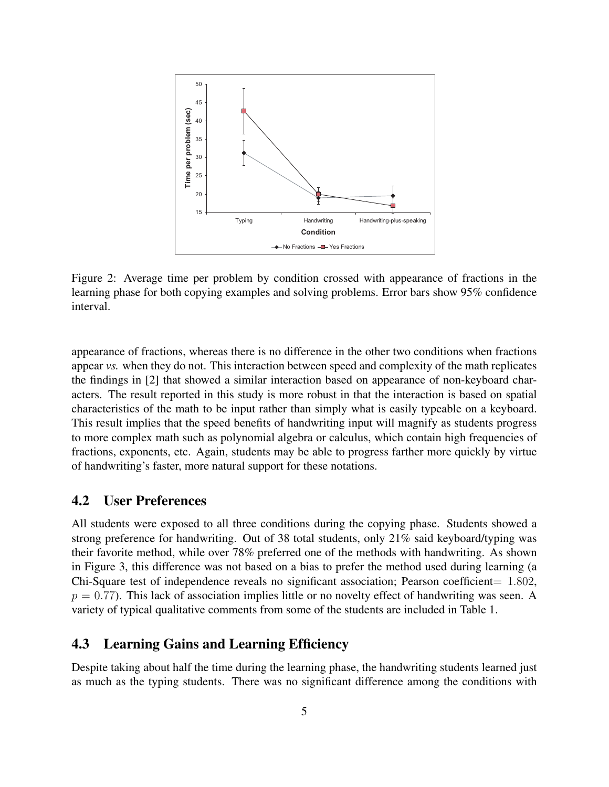

<span id="page-8-0"></span>Figure 2: Average time per problem by condition crossed with appearance of fractions in the learning phase for both copying examples and solving problems. Error bars show 95% confidence interval.

appearance of fractions, whereas there is no difference in the other two conditions when fractions appear *vs.* when they do not. This interaction between speed and complexity of the math replicates the findings in [\[2\]](#page-12-4) that showed a similar interaction based on appearance of non-keyboard characters. The result reported in this study is more robust in that the interaction is based on spatial characteristics of the math to be input rather than simply what is easily typeable on a keyboard. This result implies that the speed benefits of handwriting input will magnify as students progress to more complex math such as polynomial algebra or calculus, which contain high frequencies of fractions, exponents, etc. Again, students may be able to progress farther more quickly by virtue of handwriting's faster, more natural support for these notations.

#### 4.2 User Preferences

All students were exposed to all three conditions during the copying phase. Students showed a strong preference for handwriting. Out of 38 total students, only 21% said keyboard/typing was their favorite method, while over 78% preferred one of the methods with handwriting. As shown in Figure [3,](#page-9-0) this difference was not based on a bias to prefer the method used during learning (a Chi-Square test of independence reveals no significant association; Pearson coefficient=  $1.802$ ,  $p = 0.77$ ). This lack of association implies little or no novelty effect of handwriting was seen. A variety of typical qualitative comments from some of the students are included in Table [1.](#page-9-1)

#### 4.3 Learning Gains and Learning Efficiency

Despite taking about half the time during the learning phase, the handwriting students learned just as much as the typing students. There was no significant difference among the conditions with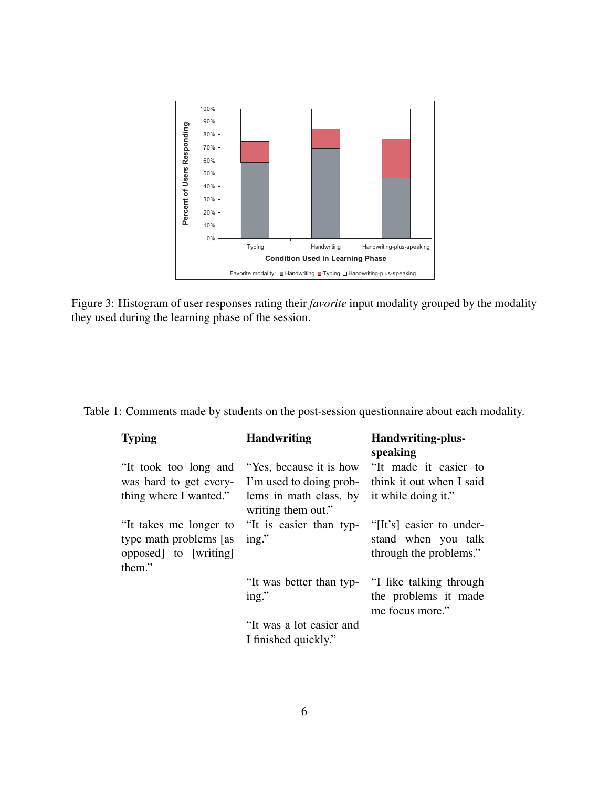

<span id="page-9-0"></span>Figure 3: Histogram of user responses rating their *favorite* input modality grouped by the modality they used during the learning phase of the session.

<span id="page-9-1"></span>

| <b>Typing</b>           | <b>Handwriting</b>       | Handwriting-plus-<br>speaking |
|-------------------------|--------------------------|-------------------------------|
| "It took too long and   | "Yes, because it is how" | "It made it easier to         |
| was hard to get every-  | I'm used to doing prob-  | think it out when I said      |
| thing where I wanted."  | lems in math class, by   | it while doing it."           |
|                         | writing them out."       |                               |
| "It takes me longer to  | "It is easier than typ-  | "[It's] easier to under-      |
| type math problems [as] | ing."                    | stand when you talk           |
| opposed] to [writing]   |                          | through the problems."        |
| them."                  |                          |                               |
|                         | "It was better than typ- | "I like talking through       |
|                         | ing."                    | the problems it made          |
|                         |                          | me focus more."               |
|                         | "It was a lot easier and |                               |
|                         | I finished quickly."     |                               |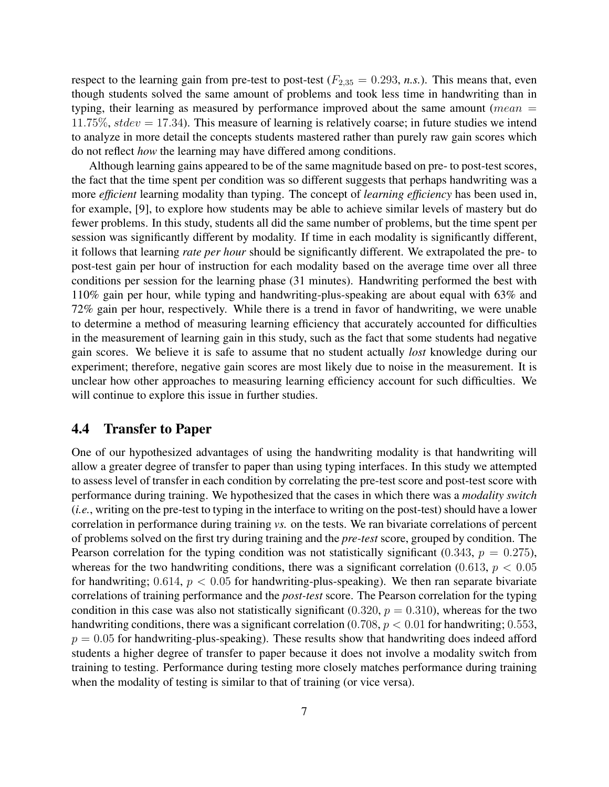respect to the learning gain from pre-test to post-test ( $F_{2,35} = 0.293$ , *n.s.*). This means that, even though students solved the same amount of problems and took less time in handwriting than in typing, their learning as measured by performance improved about the same amount (*mean*  $=$ 11.75%,  $stdev = 17.34$ ). This measure of learning is relatively coarse; in future studies we intend to analyze in more detail the concepts students mastered rather than purely raw gain scores which do not reflect *how* the learning may have differed among conditions.

Although learning gains appeared to be of the same magnitude based on pre- to post-test scores, the fact that the time spent per condition was so different suggests that perhaps handwriting was a more *efficient* learning modality than typing. The concept of *learning efficiency* has been used in, for example, [\[9\]](#page-12-10), to explore how students may be able to achieve similar levels of mastery but do fewer problems. In this study, students all did the same number of problems, but the time spent per session was significantly different by modality. If time in each modality is significantly different, it follows that learning *rate per hour* should be significantly different. We extrapolated the pre- to post-test gain per hour of instruction for each modality based on the average time over all three conditions per session for the learning phase (31 minutes). Handwriting performed the best with 110% gain per hour, while typing and handwriting-plus-speaking are about equal with 63% and 72% gain per hour, respectively. While there is a trend in favor of handwriting, we were unable to determine a method of measuring learning efficiency that accurately accounted for difficulties in the measurement of learning gain in this study, such as the fact that some students had negative gain scores. We believe it is safe to assume that no student actually *lost* knowledge during our experiment; therefore, negative gain scores are most likely due to noise in the measurement. It is unclear how other approaches to measuring learning efficiency account for such difficulties. We will continue to explore this issue in further studies.

#### 4.4 Transfer to Paper

One of our hypothesized advantages of using the handwriting modality is that handwriting will allow a greater degree of transfer to paper than using typing interfaces. In this study we attempted to assess level of transfer in each condition by correlating the pre-test score and post-test score with performance during training. We hypothesized that the cases in which there was a *modality switch* (*i.e.*, writing on the pre-test to typing in the interface to writing on the post-test) should have a lower correlation in performance during training *vs.* on the tests. We ran bivariate correlations of percent of problems solved on the first try during training and the *pre-test* score, grouped by condition. The Pearson correlation for the typing condition was not statistically significant (0.343,  $p = 0.275$ ), whereas for the two handwriting conditions, there was a significant correlation (0.613,  $p < 0.05$ ) for handwriting;  $0.614$ ,  $p < 0.05$  for handwriting-plus-speaking). We then ran separate bivariate correlations of training performance and the *post-test* score. The Pearson correlation for the typing condition in this case was also not statistically significant (0.320,  $p = 0.310$ ), whereas for the two handwriting conditions, there was a significant correlation  $(0.708, p < 0.01$  for handwriting; 0.553,  $p = 0.05$  for handwriting-plus-speaking). These results show that handwriting does indeed afford students a higher degree of transfer to paper because it does not involve a modality switch from training to testing. Performance during testing more closely matches performance during training when the modality of testing is similar to that of training (or vice versa).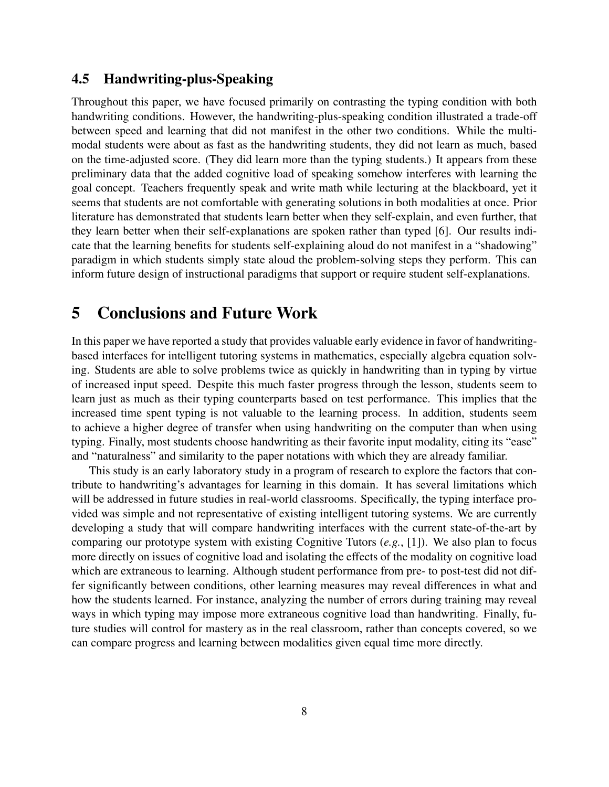### 4.5 Handwriting-plus-Speaking

Throughout this paper, we have focused primarily on contrasting the typing condition with both handwriting conditions. However, the handwriting-plus-speaking condition illustrated a trade-off between speed and learning that did not manifest in the other two conditions. While the multimodal students were about as fast as the handwriting students, they did not learn as much, based on the time-adjusted score. (They did learn more than the typing students.) It appears from these preliminary data that the added cognitive load of speaking somehow interferes with learning the goal concept. Teachers frequently speak and write math while lecturing at the blackboard, yet it seems that students are not comfortable with generating solutions in both modalities at once. Prior literature has demonstrated that students learn better when they self-explain, and even further, that they learn better when their self-explanations are spoken rather than typed [\[6\]](#page-12-8). Our results indicate that the learning benefits for students self-explaining aloud do not manifest in a "shadowing" paradigm in which students simply state aloud the problem-solving steps they perform. This can inform future design of instructional paradigms that support or require student self-explanations.

### 5 Conclusions and Future Work

In this paper we have reported a study that provides valuable early evidence in favor of handwritingbased interfaces for intelligent tutoring systems in mathematics, especially algebra equation solving. Students are able to solve problems twice as quickly in handwriting than in typing by virtue of increased input speed. Despite this much faster progress through the lesson, students seem to learn just as much as their typing counterparts based on test performance. This implies that the increased time spent typing is not valuable to the learning process. In addition, students seem to achieve a higher degree of transfer when using handwriting on the computer than when using typing. Finally, most students choose handwriting as their favorite input modality, citing its "ease" and "naturalness" and similarity to the paper notations with which they are already familiar.

This study is an early laboratory study in a program of research to explore the factors that contribute to handwriting's advantages for learning in this domain. It has several limitations which will be addressed in future studies in real-world classrooms. Specifically, the typing interface provided was simple and not representative of existing intelligent tutoring systems. We are currently developing a study that will compare handwriting interfaces with the current state-of-the-art by comparing our prototype system with existing Cognitive Tutors (*e.g.*, [\[1\]](#page-12-5)). We also plan to focus more directly on issues of cognitive load and isolating the effects of the modality on cognitive load which are extraneous to learning. Although student performance from pre- to post-test did not differ significantly between conditions, other learning measures may reveal differences in what and how the students learned. For instance, analyzing the number of errors during training may reveal ways in which typing may impose more extraneous cognitive load than handwriting. Finally, future studies will control for mastery as in the real classroom, rather than concepts covered, so we can compare progress and learning between modalities given equal time more directly.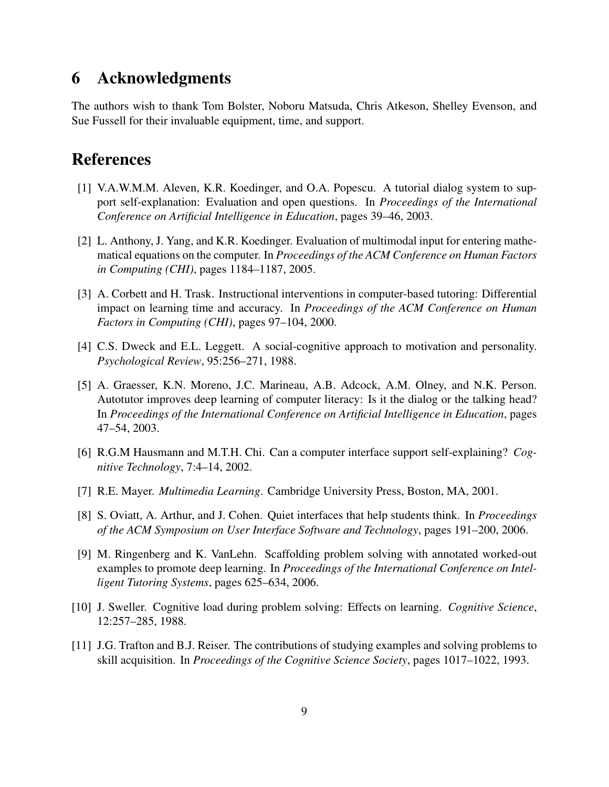### 6 Acknowledgments

The authors wish to thank Tom Bolster, Noboru Matsuda, Chris Atkeson, Shelley Evenson, and Sue Fussell for their invaluable equipment, time, and support.

## References

- <span id="page-12-5"></span>[1] V.A.W.M.M. Aleven, K.R. Koedinger, and O.A. Popescu. A tutorial dialog system to support self-explanation: Evaluation and open questions. In *Proceedings of the International Conference on Artificial Intelligence in Education*, pages 39–46, 2003.
- <span id="page-12-4"></span>[2] L. Anthony, J. Yang, and K.R. Koedinger. Evaluation of multimodal input for entering mathematical equations on the computer. In *Proceedings of the ACM Conference on Human Factors in Computing (CHI)*, pages 1184–1187, 2005.
- <span id="page-12-0"></span>[3] A. Corbett and H. Trask. Instructional interventions in computer-based tutoring: Differential impact on learning time and accuracy. In *Proceedings of the ACM Conference on Human Factors in Computing (CHI)*, pages 97–104, 2000.
- <span id="page-12-7"></span>[4] C.S. Dweck and E.L. Leggett. A social-cognitive approach to motivation and personality. *Psychological Review*, 95:256–271, 1988.
- <span id="page-12-1"></span>[5] A. Graesser, K.N. Moreno, J.C. Marineau, A.B. Adcock, A.M. Olney, and N.K. Person. Autotutor improves deep learning of computer literacy: Is it the dialog or the talking head? In *Proceedings of the International Conference on Artificial Intelligence in Education*, pages 47–54, 2003.
- <span id="page-12-8"></span>[6] R.G.M Hausmann and M.T.H. Chi. Can a computer interface support self-explaining? *Cognitive Technology*, 7:4–14, 2002.
- <span id="page-12-2"></span>[7] R.E. Mayer. *Multimedia Learning*. Cambridge University Press, Boston, MA, 2001.
- <span id="page-12-6"></span>[8] S. Oviatt, A. Arthur, and J. Cohen. Quiet interfaces that help students think. In *Proceedings of the ACM Symposium on User Interface Software and Technology*, pages 191–200, 2006.
- <span id="page-12-10"></span>[9] M. Ringenberg and K. VanLehn. Scaffolding problem solving with annotated worked-out examples to promote deep learning. In *Proceedings of the International Conference on Intelligent Tutoring Systems*, pages 625–634, 2006.
- <span id="page-12-3"></span>[10] J. Sweller. Cognitive load during problem solving: Effects on learning. *Cognitive Science*, 12:257–285, 1988.
- <span id="page-12-9"></span>[11] J.G. Trafton and B.J. Reiser. The contributions of studying examples and solving problems to skill acquisition. In *Proceedings of the Cognitive Science Society*, pages 1017–1022, 1993.